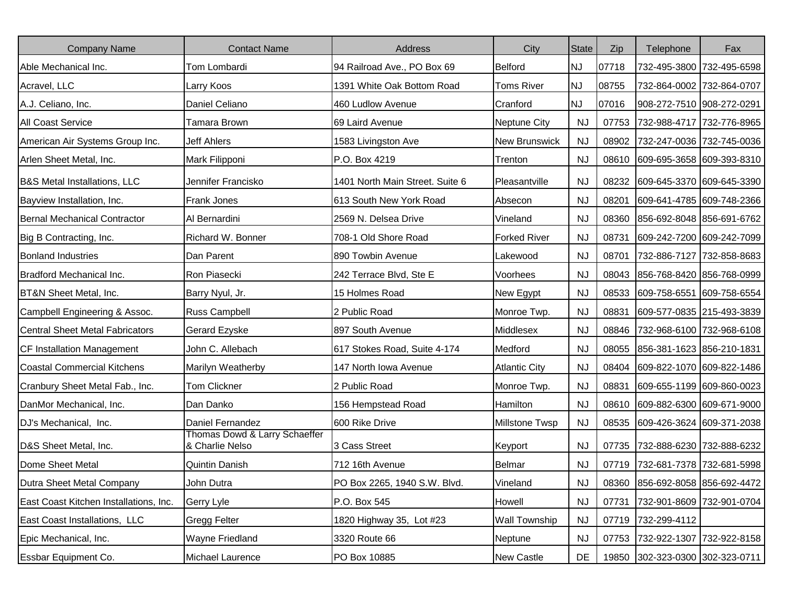| <b>Company Name</b>                     | <b>Contact Name</b>                              | Address                         | City                 | <b>State</b> | Zip   | Telephone                       | Fax                             |
|-----------------------------------------|--------------------------------------------------|---------------------------------|----------------------|--------------|-------|---------------------------------|---------------------------------|
| Able Mechanical Inc.                    | Tom Lombardi                                     | 94 Railroad Ave., PO Box 69     | Belford              | <b>NJ</b>    | 07718 |                                 | 732-495-3800 732-495-6598       |
| Acravel, LLC                            | Larry Koos                                       | 1391 White Oak Bottom Road      | <b>Toms River</b>    | <b>NJ</b>    | 08755 |                                 | 732-864-0002 732-864-0707       |
| A.J. Celiano, Inc.                      | Daniel Celiano                                   | 460 Ludlow Avenue               | Cranford             | <b>NJ</b>    | 07016 | 908-272-7510 908-272-0291       |                                 |
| <b>All Coast Service</b>                | Tamara Brown                                     | 69 Laird Avenue                 | <b>Neptune City</b>  | <b>NJ</b>    | 07753 |                                 | 732-988-4717 732-776-8965       |
| American Air Systems Group Inc.         | Jeff Ahlers                                      | 1583 Livingston Ave             | New Brunswick        | <b>NJ</b>    |       | 08902 732-247-0036 732-745-0036 |                                 |
| Arlen Sheet Metal, Inc.                 | Mark Filipponi                                   | P.O. Box 4219                   | Trenton              | <b>NJ</b>    |       | 08610 609-695-3658 609-393-8310 |                                 |
| <b>B&amp;S Metal Installations, LLC</b> | Jennifer Francisko                               | 1401 North Main Street. Suite 6 | Pleasantville        | <b>NJ</b>    | 08232 | 609-645-3370 609-645-3390       |                                 |
| Bayview Installation, Inc.              | <b>Frank Jones</b>                               | 613 South New York Road         | Absecon              | <b>NJ</b>    | 08201 |                                 | 609-641-4785 609-748-2366       |
| <b>Bernal Mechanical Contractor</b>     | Al Bernardini                                    | 2569 N. Delsea Drive            | Vineland             | <b>NJ</b>    | 08360 | 856-692-8048 856-691-6762       |                                 |
| Big B Contracting, Inc.                 | Richard W. Bonner                                | 708-1 Old Shore Road            | <b>Forked River</b>  | <b>NJ</b>    | 08731 | 609-242-7200 609-242-7099       |                                 |
| <b>Bonland Industries</b>               | Dan Parent                                       | 890 Towbin Avenue               | Lakewood             | <b>NJ</b>    | 08701 |                                 | 732-886-7127 732-858-8683       |
| Bradford Mechanical Inc.                | Ron Piasecki                                     | 242 Terrace Blvd, Ste E         | Voorhees             | <b>NJ</b>    | 08043 | 856-768-8420 856-768-0999       |                                 |
| BT&N Sheet Metal, Inc.                  | Barry Nyul, Jr.                                  | 15 Holmes Road                  | New Egypt            | <b>NJ</b>    |       | 08533 609-758-6551 609-758-6554 |                                 |
| Campbell Engineering & Assoc.           | Russ Campbell                                    | 2 Public Road                   | Monroe Twp.          | <b>NJ</b>    | 08831 | 609-577-0835 215-493-3839       |                                 |
| <b>Central Sheet Metal Fabricators</b>  | Gerard Ezyske                                    | 897 South Avenue                | Middlesex            | <b>NJ</b>    | 08846 | 732-968-6100 732-968-6108       |                                 |
| CF Installation Management              | John C. Allebach                                 | 617 Stokes Road, Suite 4-174    | Medford              | <b>NJ</b>    | 08055 | 856-381-1623 856-210-1831       |                                 |
| <b>Coastal Commercial Kitchens</b>      | Marilyn Weatherby                                | 147 North Iowa Avenue           | <b>Atlantic City</b> | <b>NJ</b>    | 08404 | 609-822-1070 609-822-1486       |                                 |
| Cranbury Sheet Metal Fab., Inc.         | <b>Tom Clickner</b>                              | 2 Public Road                   | Monroe Twp.          | <b>NJ</b>    | 08831 | 609-655-1199 609-860-0023       |                                 |
| DanMor Mechanical, Inc.                 | Dan Danko                                        | 156 Hempstead Road              | Hamilton             | <b>NJ</b>    | 08610 | 609-882-6300 609-671-9000       |                                 |
| DJ's Mechanical, Inc.                   | Daniel Fernandez                                 | 600 Rike Drive                  | Millstone Twsp       | <b>NJ</b>    | 08535 | 609-426-3624 609-371-2038       |                                 |
| D&S Sheet Metal, Inc.                   | Thomas Dowd & Larry Schaeffer<br>& Charlie Nelso | 3 Cass Street                   | Keyport              | <b>NJ</b>    | 07735 | 732-888-6230 732-888-6232       |                                 |
| Dome Sheet Metal                        | <b>Quintin Danish</b>                            | 712 16th Avenue                 | Belmar               | <b>NJ</b>    | 07719 | 732-681-7378 732-681-5998       |                                 |
| Dutra Sheet Metal Company               | John Dutra                                       | PO Box 2265, 1940 S.W. Blvd.    | Vineland             | <b>NJ</b>    |       |                                 | 08360 856-692-8058 856-692-4472 |
| East Coast Kitchen Installations, Inc.  | Gerry Lyle                                       | P.O. Box 545                    | Howell               | <b>NJ</b>    | 07731 |                                 | 732-901-8609 732-901-0704       |
| East Coast Installations, LLC           | <b>Gregg Felter</b>                              | 1820 Highway 35, Lot #23        | <b>Wall Township</b> | <b>NJ</b>    |       | 07719 732-299-4112              |                                 |
| Epic Mechanical, Inc.                   | <b>Wayne Friedland</b>                           | 3320 Route 66                   | Neptune              | <b>NJ</b>    | 07753 |                                 | 732-922-1307 732-922-8158       |
| Essbar Equipment Co.                    | Michael Laurence                                 | PO Box 10885                    | New Castle           | DE           |       | 19850 302-323-0300 302-323-0711 |                                 |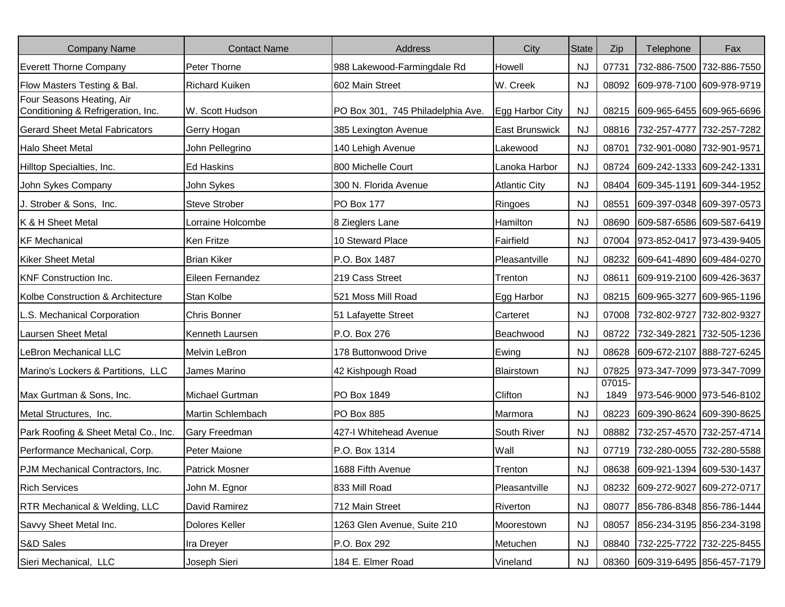| <b>Company Name</b>                                             | <b>Contact Name</b>   | Address                           | City                  | <b>State</b> | Zip            | Telephone                       | Fax                       |
|-----------------------------------------------------------------|-----------------------|-----------------------------------|-----------------------|--------------|----------------|---------------------------------|---------------------------|
| <b>Everett Thorne Company</b>                                   | Peter Thorne          | 988 Lakewood-Farmingdale Rd       | Howell                | NJ.          | 07731          | 732-886-7500 732-886-7550       |                           |
| Flow Masters Testing & Bal.                                     | <b>Richard Kuiken</b> | 602 Main Street                   | W. Creek              | <b>NJ</b>    |                | 08092 609-978-7100 609-978-9719 |                           |
| Four Seasons Heating, Air<br>Conditioning & Refrigeration, Inc. | W. Scott Hudson       | PO Box 301, 745 Philadelphia Ave. | Egg Harbor City       | <b>NJ</b>    |                | 08215 609-965-6455 609-965-6696 |                           |
| <b>Gerard Sheet Metal Fabricators</b>                           | Gerry Hogan           | 385 Lexington Avenue              | <b>East Brunswick</b> | <b>NJ</b>    |                | 08816 732-257-4777 732-257-7282 |                           |
| <b>Halo Sheet Metal</b>                                         | John Pellegrino       | 140 Lehigh Avenue                 | Lakewood              | <b>NJ</b>    | 08701          | 732-901-0080 732-901-9571       |                           |
| Hilltop Specialties, Inc.                                       | <b>Ed Haskins</b>     | 800 Michelle Court                | Lanoka Harbor         | NJ.          |                | 08724 609-242-1333 609-242-1331 |                           |
| John Sykes Company                                              | John Sykes            | 300 N. Florida Avenue             | <b>Atlantic City</b>  | <b>NJ</b>    |                | 08404 609-345-1191 609-344-1952 |                           |
| J. Strober & Sons, Inc.                                         | <b>Steve Strober</b>  | PO Box 177                        | Ringoes               | <b>NJ</b>    | 08551          | 609-397-0348 609-397-0573       |                           |
| K & H Sheet Metal                                               | Lorraine Holcombe     | 8 Zieglers Lane                   | Hamilton              | <b>NJ</b>    |                | 08690 609-587-6586 609-587-6419 |                           |
| <b>KF Mechanical</b>                                            | <b>Ken Fritze</b>     | 10 Steward Place                  | Fairfield             | <b>NJ</b>    |                | 07004 973-852-0417 973-439-9405 |                           |
| <b>Kiker Sheet Metal</b>                                        | <b>Brian Kiker</b>    | P.O. Box 1487                     | Pleasantville         | NJ.          |                | 08232 609-641-4890 609-484-0270 |                           |
| <b>KNF Construction Inc.</b>                                    | Eileen Fernandez      | 219 Cass Street                   | Trenton               | <b>NJ</b>    | 08611          | 609-919-2100 609-426-3637       |                           |
| Kolbe Construction & Architecture                               | Stan Kolbe            | 521 Moss Mill Road                | Egg Harbor            | <b>NJ</b>    |                | 08215 609-965-3277 609-965-1196 |                           |
| L.S. Mechanical Corporation                                     | <b>Chris Bonner</b>   | 51 Lafayette Street               | Carteret              | <b>NJ</b>    |                | 07008 732-802-9727 732-802-9327 |                           |
| Laursen Sheet Metal                                             | Kenneth Laursen       | P.O. Box 276                      | Beachwood             | <b>NJ</b>    | 08722          | 732-349-2821 732-505-1236       |                           |
| LeBron Mechanical LLC                                           | <b>Melvin LeBron</b>  | 178 Buttonwood Drive              | Ewing                 | <b>NJ</b>    |                | 08628 609-672-2107 888-727-6245 |                           |
| Marino's Lockers & Partitions, LLC                              | James Marino          | 42 Kishpough Road                 | Blairstown            | <b>NJ</b>    | 07825          | 973-347-7099 973-347-7099       |                           |
| Max Gurtman & Sons, Inc.                                        | Michael Gurtman       | PO Box 1849                       | Clifton               | <b>NJ</b>    | 07015-<br>1849 | 973-546-9000 973-546-8102       |                           |
| Metal Structures, Inc.                                          | Martin Schlembach     | PO Box 885                        | Marmora               | <b>NJ</b>    |                | 08223 609-390-8624 609-390-8625 |                           |
| Park Roofing & Sheet Metal Co., Inc.                            | <b>Gary Freedman</b>  | 427-I Whitehead Avenue            | South River           | <b>NJ</b>    | 08882          | 732-257-4570 732-257-4714       |                           |
| Performance Mechanical, Corp.                                   | Peter Maione          | P.O. Box 1314                     | Wall                  | <b>NJ</b>    | 07719          | 732-280-0055 732-280-5588       |                           |
| PJM Mechanical Contractors, Inc.                                | <b>Patrick Mosner</b> | 1688 Fifth Avenue                 | Trenton               | <b>NJ</b>    |                | 08638 609-921-1394 609-530-1437 |                           |
| <b>Rich Services</b>                                            | John M. Egnor         | 833 Mill Road                     | Pleasantville         | <b>NJ</b>    |                | 08232 609-272-9027 609-272-0717 |                           |
| <b>RTR Mechanical &amp; Welding, LLC</b>                        | David Ramirez         | 712 Main Street                   | Riverton              | <b>NJ</b>    | 08077          |                                 | 856-786-8348 856-786-1444 |
| Savvy Sheet Metal Inc.                                          | Dolores Keller        | 1263 Glen Avenue, Suite 210       | Moorestown            | <b>NJ</b>    | 08057          |                                 | 856-234-3195 856-234-3198 |
| S&D Sales                                                       | Ira Dreyer            | P.O. Box 292                      | Metuchen              | <b>NJ</b>    |                | 08840 732-225-7722 732-225-8455 |                           |
| Sieri Mechanical, LLC                                           | Joseph Sieri          | 184 E. Elmer Road                 | Vineland              | <b>NJ</b>    |                | 08360 609-319-6495 856-457-7179 |                           |